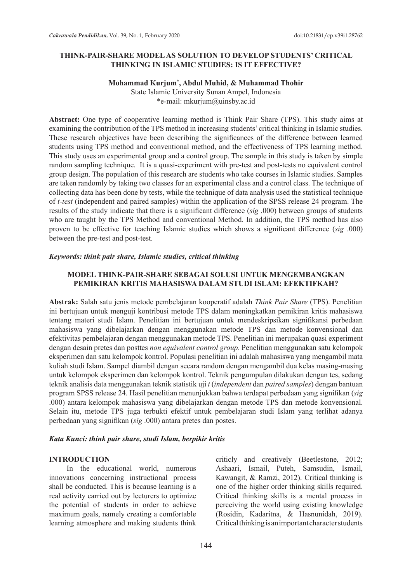## **THINK-PAIR-SHARE MODEL AS SOLUTION TO DEVELOP STUDENTS' CRITICAL THINKING IN ISLAMIC STUDIES: IS IT EFFECTIVE?**

### **Mohammad Kurjum\* , Abdul Muhid, & Muhammad Thohir**

State Islamic University Sunan Ampel, Indonesia \*e-mail: mkurjum@uinsby.ac.id

**Abstract:** One type of cooperative learning method is Think Pair Share (TPS). This study aims at examining the contribution of the TPS method in increasing students' critical thinking in Islamic studies. These research objectives have been describing the significances of the difference between learned students using TPS method and conventional method, and the effectiveness of TPS learning method. This study uses an experimental group and a control group. The sample in this study is taken by simple random sampling technique. It is a quasi-experiment with pre-test and post-tests no equivalent control group design. The population of this research are students who take courses in Islamic studies. Samples are taken randomly by taking two classes for an experimental class and a control class. The technique of collecting data has been done by tests, while the technique of data analysis used the statistical technique of *t-test* (independent and paired samples) within the application of the SPSS release 24 program. The results of the study indicate that there is a significant difference (*sig* .000) between groups of students who are taught by the TPS Method and conventional Method. In addition, the TPS method has also proven to be effective for teaching Islamic studies which shows a significant difference (*sig* .000) between the pre-test and post-test.

### *Keywords: think pair share, Islamic studies, critical thinking*

### **MODEL THINK-PAIR-SHARE SEBAGAI SOLUSI UNTUK MENGEMBANGKAN PEMIKIRAN KRITIS MAHASISWA DALAM STUDI ISLAM: EFEKTIFKAH?**

**Abstrak:** Salah satu jenis metode pembelajaran kooperatif adalah *Think Pair Share* (TPS). Penelitian ini bertujuan untuk menguji kontribusi metode TPS dalam meningkatkan pemikiran kritis mahasiswa tentang materi studi Islam. Penelitian ini bertujuan untuk mendeskripsikan signifikansi perbedaan mahasiswa yang dibelajarkan dengan menggunakan metode TPS dan metode konvensional dan efektivitas pembelajaran dengan menggunakan metode TPS. Penelitian ini merupakan quasi experiment dengan desain pretes dan posttes *non equivalent control group*. Penelitian menggunakan satu kelompok eksperimen dan satu kelompok kontrol. Populasi penelitian ini adalah mahasiswa yang mengambil mata kuliah studi Islam. Sampel diambil dengan secara random dengan mengambil dua kelas masing-masing untuk kelompok eksperimen dan kelompok kontrol. Teknik pengumpulan dilakukan dengan tes, sedang teknik analisis data menggunakan teknik statistik uji *t* (*independent* dan *paired samples*) dengan bantuan program SPSS release 24. Hasil penelitian menunjukkan bahwa terdapat perbedaan yang signifikan (*sig* .000) antara kelompok mahasiswa yang dibelajarkan dengan metode TPS dan metode konvensional. Selain itu, metode TPS juga terbukti efektif untuk pembelajaran studi Islam yang terlihat adanya perbedaan yang signifikan (*sig* .000) antara pretes dan postes.

### *Kata Kunci: think pair share, studi Islam, berpikir kritis*

### **INTRODUCTION**

In the educational world, numerous innovations concerning instructional process shall be conducted. This is because learning is a real activity carried out by lecturers to optimize the potential of students in order to achieve maximum goals, namely creating a comfortable learning atmosphere and making students think criticly and creatively (Beetlestone, 2012; Ashaari, Ismail, Puteh, Samsudin, Ismail, Kawangit, & Ramzi, 2012). Critical thinking is one of the higher order thinking skills required. Critical thinking skills is a mental process in perceiving the world using existing knowledge (Rosidin, Kadaritna, & Hasnunidah, 2019). Critical thinking is an important character students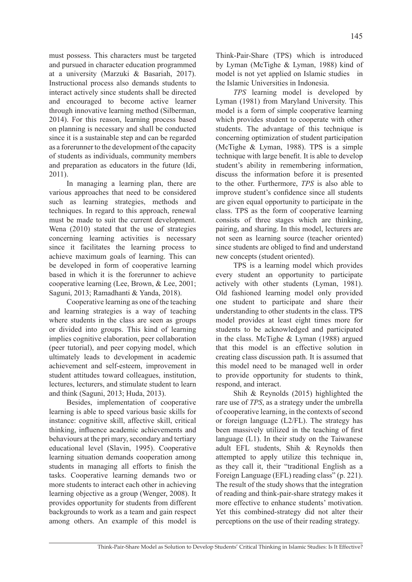must possess. This characters must be targeted and pursued in character education programmed at a university (Marzuki & Basariah, 2017). Instructional process also demands students to interact actively since students shall be directed and encouraged to become active learner through innovative learning method (Silberman, 2014). For this reason, learning process based on planning is necessary and shall be conducted since it is a sustainable step and can be regarded as a forerunner to the development of the capacity of students as individuals, community members and preparation as educators in the future (Idi, 2011).

In managing a learning plan, there are various approaches that need to be considered such as learning strategies, methods and techniques. In regard to this approach, renewal must be made to suit the current development. Wena (2010) stated that the use of strategies concerning learning activities is necessary since it facilitates the learning process to achieve maximum goals of learning. This can be developed in form of cooperative learning based in which it is the forerunner to achieve cooperative learning (Lee, Brown, & Lee, 2001; Saguni, 2013; Ramadhanti & Yanda, 2018).

Cooperative learning as one of the teaching and learning strategies is a way of teaching where students in the class are seen as groups or divided into groups. This kind of learning implies cognitive elaboration, peer collaboration (peer tutorial), and peer copying model, which ultimately leads to development in academic achievement and self-esteem, improvement in student attitudes toward colleagues, institution, lectures, lecturers, and stimulate student to learn and think (Saguni, 2013; Huda, 2013).

Besides, implementation of cooperative learning is able to speed various basic skills for instance: cognitive skill, affective skill, critical thinking, influence academic achievements and behaviours at the pri mary, secondary and tertiary educational level (Slavin, 1995). Cooperative learning situation demands cooperation among students in managing all efforts to finish the tasks. Cooperative learning demands two or more students to interact each other in achieving learning objective as a group (Wenger, 2008). It provides opportunity for students from different backgrounds to work as a team and gain respect among others. An example of this model is

Think-Pair-Share (TPS) which is introduced by Lyman (McTighe & Lyman, 1988) kind of model is not yet applied on Islamic studies in the Islamic Universities in Indonesia.

*TPS* learning model is developed by Lyman (1981) from Maryland University. This model is a form of simple cooperative learning which provides student to cooperate with other students. The advantage of this technique is concerning optimization of student participation (McTighe & Lyman, 1988). TPS is a simple technique with large benefit. It is able to develop student's ability in remembering information, discuss the information before it is presented to the other. Furthermore, *TPS* is also able to improve student's confidence since all students are given equal opportunity to participate in the class. TPS as the form of cooperative learning consists of three stages which are thinking, pairing, and sharing. In this model, lecturers are not seen as learning source (teacher oriented) since students are obliged to find and understand new concepts (student oriented).

TPS is a learning model which provides every student an opportunity to participate actively with other students (Lyman, 1981). Old fashioned learning model only provided one student to participate and share their understanding to other students in the class. TPS model provides at least eight times more for students to be acknowledged and participated in the class. McTighe & Lyman (1988) argued that this model is an effective solution in creating class discussion path. It is assumed that this model need to be managed well in order to provide opportunity for students to think, respond, and interact.

Shih & Reynolds (2015) highlighted the rare use of *TPS*, as a strategy under the umbrella of cooperative learning, in the contexts of second or foreign language (L2/FL). The strategy has been massively utilized in the teaching of first language (L1). In their study on the Taiwanese adult EFL students, Shih & Reynolds then attempted to apply utilize this technique in, as they call it, their "traditional English as a Foreign Language (EFL) reading class" (p. 221). The result of the study shows that the integration of reading and think-pair-share strategy makes it more effective to enhance students' motivation. Yet this combined-strategy did not alter their perceptions on the use of their reading strategy.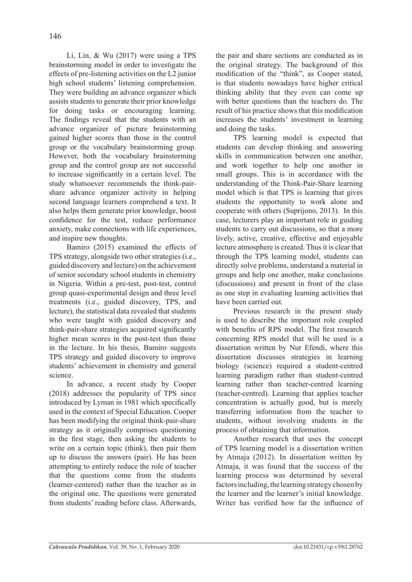Li, Lin, & Wu (2017) were using a TPS brainstorming model in order to investigate the effects of pre-listening activities on the L2 junior high school students' listening comprehension. They were building an advance organizer which assists students to generate their prior knowledge for doing tasks or encouraging learning. The findings reveal that the students with an advance organizer of picture brainstorming gained higher scores than those in the control group or the vocabulary brainstorming group. However, both the vocabulary brainstorming group and the control group are not successful to increase significantly in a certain level. The study whatsoever recommends the think-pairshare advance organizer activity in helping second language learners comprehend a text. It also helps them generate prior knowledge, boost confidence for the test, reduce performance anxiety, make connections with life experiences, and inspire new thoughts.

Bamiro (2015) examined the effects of TPS strategy, alongside two other strategies (i.e., guided discovery and lecture) on the achievement of senior secondary school students in chemistry in Nigeria. Within a pre-test, post-test, control group quasi-experimental design and three level treatments (i.e., guided discovery, TPS, and lecture), the statistical data revealed that students who were taught with guided discovery and think-pair-share strategies acquired significantly higher mean scores in the post-test than those in the lecture. In his thesis, Bamiro suggests TPS strategy and guided discovery to improve students' achievement in chemistry and general science.

In advance, a recent study by Cooper (2018) addresses the popularity of TPS since introduced by Lyman in 1981 which specifically used in the context of Special Education. Cooper has been modifying the original think-pair-share strategy as it originally comprises questioning in the first stage, then asking the students to write on a certain topic (think), then pair them up to discuss the answers (pair). He has been attempting to entirely reduce the role of teacher that the questions come from the students (learner-centered) rather than the teacher as in the original one. The questions were generated from students' reading before class. Afterwards, the pair and share sections are conducted as in the original strategy. The background of this modification of the "think", as Cooper stated, is that students nowadays have higher critical thinking ability that they even can come up with better questions than the teachers do. The result of his practice shows that this modification increases the students' investment in learning and doing the tasks.

TPS learning model is expected that students can develop thinking and answering skills in communication between one another, and work together to help one another in small groups. This is in accordance with the understanding of the Think-Pair-Share learning model which is that TPS is learning that gives students the opportunity to work alone and cooperate with others (Suprijono, 2013). In this case, lecturers play an important role in guiding students to carry out discussions, so that a more lively, active, creative, effective and enjoyable lecture atmosphere is created. Thus it is clear that through the TPS learning model, students can directly solve problems, understand a material in groups and help one another, make conclusions (discussions) and present in front of the class as one step in evaluating learning activities that have been carried out.

Previous research in the present study is used to describe the important role coupled with benefits of RPS model. The first research concerning RPS model that will be used is a dissertation written by Nur Efendi, where this dissertation discusses strategies in learning biology (science) required a student-centred learning paradigm rather than student-centred learning rather than teacher-centred learning (teacher-centred). Learning that applies teacher concentration is actually good, but is merely transferring information from the teacher to students, without involving students in the process of obtaining that information.

Another research that uses the concept of TPS learning model is a dissertation written by Atmaja (2012). In dissertation written by Atmaja, it was found that the success of the learning process was determined by several factors including, the learning strategy chosen by the learner and the learner's initial knowledge. Writer has verified how far the influence of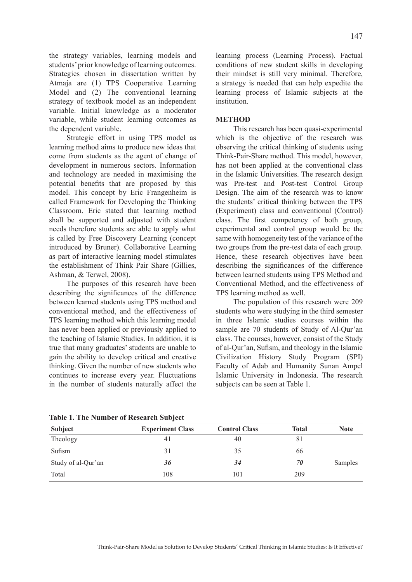the strategy variables, learning models and students' prior knowledge of learning outcomes. Strategies chosen in dissertation written by Atmaja are (1) TPS Cooperative Learning Model and (2) The conventional learning strategy of textbook model as an independent variable. Initial knowledge as a moderator variable, while student learning outcomes as the dependent variable.

Strategic effort in using TPS model as learning method aims to produce new ideas that come from students as the agent of change of development in numerous sectors. Information and technology are needed in maximising the potential benefits that are proposed by this model. This concept by Eric Frangenheim is called Framework for Developing the Thinking Classroom. Eric stated that learning method shall be supported and adjusted with student needs therefore students are able to apply what is called by Free Discovery Learning (concept introduced by Bruner). Collaborative Learning as part of interactive learning model stimulates the establishment of Think Pair Share (Gillies, Ashman, & Terwel, 2008).

The purposes of this research have been describing the significances of the difference between learned students using TPS method and conventional method, and the effectiveness of TPS learning method which this learning model has never been applied or previously applied to the teaching of Islamic Studies. In addition, it is true that many graduates' students are unable to gain the ability to develop critical and creative thinking. Given the number of new students who continues to increase every year. Fluctuations in the number of students naturally affect the learning process (Learning Process). Factual conditions of new student skills in developing their mindset is still very minimal. Therefore, a strategy is needed that can help expedite the learning process of Islamic subjects at the institution.

## **METHOD**

This research has been quasi-experimental which is the objective of the research was observing the critical thinking of students using Think-Pair-Share method. This model, however, has not been applied at the conventional class in the Islamic Universities. The research design was Pre-test and Post-test Control Group Design. The aim of the research was to know the students' critical thinking between the TPS (Experiment) class and conventional (Control) class. The first competency of both group, experimental and control group would be the same with homogeneity test of the variance of the two groups from the pre-test data of each group. Hence, these research objectives have been describing the significances of the difference between learned students using TPS Method and Conventional Method, and the effectiveness of TPS learning method as well.

The population of this research were 209 students who were studying in the third semester in three Islamic studies courses within the sample are 70 students of Study of Al-Qur'an class. The courses, however, consist of the Study of al-Qur'an, Sufism, and theology in the Islamic Civilization History Study Program (SPI) Faculty of Adab and Humanity Sunan Ampel Islamic University in Indonesia. The research subjects can be seen at Table 1.

|                    | $\cdot$                 |                      |              |             |
|--------------------|-------------------------|----------------------|--------------|-------------|
| Subject            | <b>Experiment Class</b> | <b>Control Class</b> | <b>Total</b> | <b>Note</b> |
| Theology           | 41                      | 40                   | 81           |             |
| Sufism             | 31                      | 35                   | 66           |             |
| Study of al-Qur'an | 36                      | 34                   | 70           | Samples     |
| Total              | 108                     | 101                  | 209          |             |

**Table 1. The Number of Research Subject**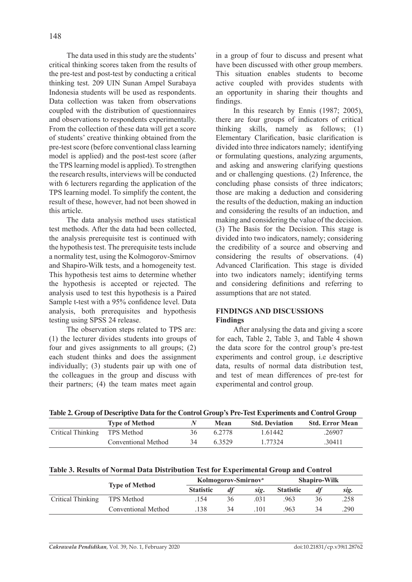The data used in this study are the students' critical thinking scores taken from the results of the pre-test and post-test by conducting a critical thinking test. 209 UIN Sunan Ampel Surabaya Indonesia students will be used as respondents. Data collection was taken from observations coupled with the distribution of questionnaires and observations to respondents experimentally. From the collection of these data will get a score of students' creative thinking obtained from the pre-test score (before conventional class learning model is applied) and the post-test score (after the TPS learning model is applied). To strengthen the research results, interviews will be conducted with 6 lecturers regarding the application of the TPS learning model. To simplify the content, the result of these, however, had not been showed in this article.

The data analysis method uses statistical test methods. After the data had been collected, the analysis prerequisite test is continued with the hypothesis test. The prerequisite tests include a normality test, using the Kolmogorov-Smirnov and Shapiro-Wilk tests, and a homogeneity test. This hypothesis test aims to determine whether the hypothesis is accepted or rejected. The analysis used to test this hypothesis is a Paired Sample t-test with a 95% confidence level. Data analysis, both prerequisites and hypothesis testing using SPSS 24 release.

The observation steps related to TPS are: (1) the lecturer divides students into groups of four and gives assignments to all groups; (2) each student thinks and does the assignment individually; (3) students pair up with one of the colleagues in the group and discuss with their partners; (4) the team mates meet again in a group of four to discuss and present what have been discussed with other group members. This situation enables students to become active coupled with provides students with an opportunity in sharing their thoughts and findings.

In this research by Ennis (1987; 2005), there are four groups of indicators of critical thinking skills, namely as follows; (1) Elementary Clarification, basic clarification is divided into three indicators namely; identifying or formulating questions, analyzing arguments, and asking and answering clarifying questions and or challenging questions. (2) Inference, the concluding phase consists of three indicators; those are making a deduction and considering the results of the deduction, making an induction and considering the results of an induction, and making and considering the value of the decision. (3) The Basis for the Decision. This stage is divided into two indicators, namely; considering the credibility of a source and observing and considering the results of observations. (4) Advanced Clarification. This stage is divided into two indicators namely; identifying terms and considering definitions and referring to assumptions that are not stated.

## **FINDINGS AND DISCUSSIONS Findings**

After analysing the data and giving a score for each, Table 2, Table 3, and Table 4 shown the data score for the control group's pre-test experiments and control group, i.e descriptive data, results of normal data distribution test, and test of mean differences of pre-test for experimental and control group.

| Table 2. Group of Descriptive Data for the Control Group's Pre-Test Experiments and Control Group |  |  |
|---------------------------------------------------------------------------------------------------|--|--|
|---------------------------------------------------------------------------------------------------|--|--|

|                              | <b>Type of Method</b> |    | Mean   | <b>Std. Deviation</b> | <b>Std. Error Mean</b> |
|------------------------------|-----------------------|----|--------|-----------------------|------------------------|
| Critical Thinking TPS Method |                       | 36 | 6 2778 | 1 61442               | 26907                  |
|                              | Conventional Method   | 34 | 63529  | 1 77324               | 30411                  |

| Table 3. Results of Normal Data Distribution Test for Experimental Group and Control |  |  |
|--------------------------------------------------------------------------------------|--|--|
|                                                                                      |  |  |

|                   |                       | Kolmogorov-Smirnov <sup>a</sup> |    |      | <b>Shapiro-Wilk</b> |           |      |
|-------------------|-----------------------|---------------------------------|----|------|---------------------|-----------|------|
|                   | <b>Type of Method</b> | <b>Statistic</b>                | df | sig. | <b>Statistic</b>    | <i>df</i> | sig. |
| Critical Thinking | TPS Method            | .154                            | 36 | 031  | 963                 | 36        | .258 |
|                   | Conventional Method   |                                 | 34 | 101  | 963                 | 34        | 290  |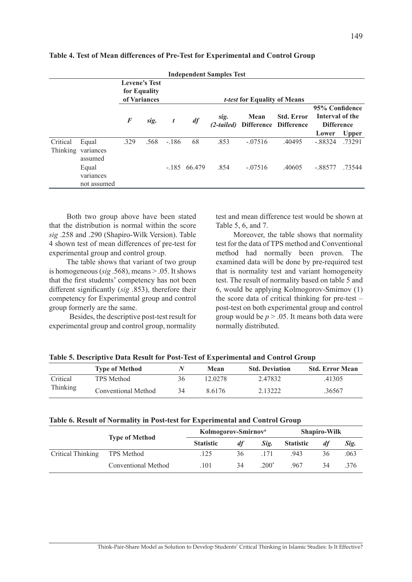|                      |                                                      |          |      |                  |               | <b>Independent Samples Test</b> |             |                                            |                                                                 |              |
|----------------------|------------------------------------------------------|----------|------|------------------|---------------|---------------------------------|-------------|--------------------------------------------|-----------------------------------------------------------------|--------------|
|                      | <b>Levene's Test</b><br>for Equality<br>of Variances |          |      |                  |               |                                 |             |                                            |                                                                 |              |
|                      |                                                      | $\bm{F}$ | sig. | $\boldsymbol{t}$ | df            | sig.<br>(2-tailed)              | <b>Mean</b> | <b>Std. Error</b><br>Difference Difference | 95% Confidence<br>Interval of the<br><b>Difference</b><br>Lower | <b>Upper</b> |
| Critical<br>Thinking | Equal<br>variances<br>assumed                        | .329     | .568 | $-.186$          | 68            | .853                            | $-.07516$   | .40495                                     | $-.88324$                                                       | .73291       |
|                      | Equal<br>variances<br>not assumed                    |          |      |                  | $-185$ 66.479 | .854                            | $-07516$    | .40605                                     | $-.88577$                                                       | .73544       |

**Table 4. Test of Mean differences of Pre-Test for Experimental and Control Group**

Both two group above have been stated that the distribution is normal within the score *sig* .258 and .290 (Shapiro-Wilk Version). Table 4 shown test of mean differences of pre-test for experimental group and control group.

The table shows that variant of two group is homogeneous (*sig* .568), means > .05. It shows that the first students' competency has not been different significantly (*sig* .853), therefore their competency for Experimental group and control group formerly are the same.

 Besides, the descriptive post-test result for experimental group and control group, normality test and mean difference test would be shown at Table 5, 6, and 7.

Moreover, the table shows that normality test for the data of TPS method and Conventional method had normally been proven. The examined data will be done by pre-required test that is normality test and variant homogeneity test. The result of normality based on table 5 and 6, would be applying Kolmogorov-Smirnov (1) the score data of critical thinking for pre-test – post-test on both experimental group and control group would be *p* > .05. It means both data were normally distributed.

|          | <b>Type of Method</b> |    | Mean    | <b>Std. Deviation</b> | <b>Std. Error Mean</b> |
|----------|-----------------------|----|---------|-----------------------|------------------------|
| Critical | TPS Method            | 36 | 12 0278 | 247832                | .41305                 |
| Thinking | Conventional Method   | 34 | 86176   | 2 13222               | 36567                  |

**Table 5. Descriptive Data Result for Post-Test of Experimental and Control Group**

### **Table 6. Result of Normality in Post-test for Experimental and Control Group**

|                   |                            | Kolmogorov-Smirnov <sup>a</sup> |    | <b>Shapiro-Wilk</b> |                  |    |      |
|-------------------|----------------------------|---------------------------------|----|---------------------|------------------|----|------|
|                   | <b>Type of Method</b>      | <b>Statistic</b>                | df | Sig.                | <b>Statistic</b> | df | Sig. |
| Critical Thinking | TPS Method                 | .125                            | 36 |                     | 943              | 36 | .063 |
|                   | <b>Conventional Method</b> | .101                            | 34 | $.200*$             | 967              | 34 | 376  |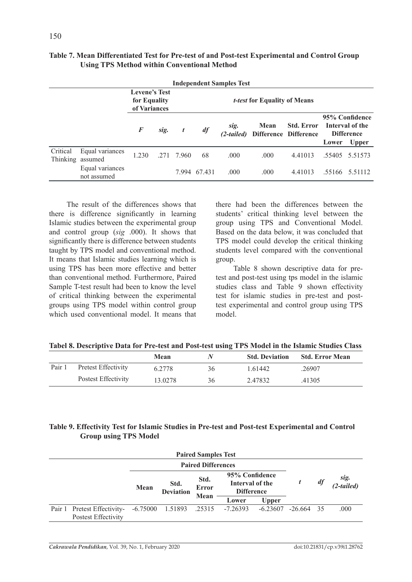|          | <b>Independent Samples Test</b>     |                                                      |      |                  |              |                      |                                     |                                            |       |                                                                        |  |  |  |
|----------|-------------------------------------|------------------------------------------------------|------|------------------|--------------|----------------------|-------------------------------------|--------------------------------------------|-------|------------------------------------------------------------------------|--|--|--|
|          |                                     | <b>Levene's Test</b><br>for Equality<br>of Variances |      |                  |              |                      | <i>t-test</i> for Equality of Means |                                            |       |                                                                        |  |  |  |
|          |                                     | $\bm{F}$                                             | sig. | $\boldsymbol{t}$ | df           | sig.<br>$(2-tailed)$ | Mean                                | <b>Std. Error</b><br>Difference Difference | Lower | 95% Confidence<br>Interval of the<br><b>Difference</b><br><b>Upper</b> |  |  |  |
| Critical | Equal variances<br>Thinking assumed | 1.230                                                |      | $.271$ 7.960     | 68           | .000                 | .000                                | 4.41013                                    |       | 55405 5.51573                                                          |  |  |  |
|          | Equal variances<br>not assumed      |                                                      |      |                  | 7.994 67.431 | .000                 | .000                                | 4.41013                                    |       | .55166 5.51112                                                         |  |  |  |

# **Table 7. Mean Differentiated Test for Pre-test of and Post-test Experimental and Control Group Using TPS Method within Conventional Method**

The result of the differences shows that there is difference significantly in learning Islamic studies between the experimental group and control group (*sig* .000). It shows that significantly there is difference between students taught by TPS model and conventional method. It means that Islamic studies learning which is using TPS has been more effective and better than conventional method. Furthermore, Paired Sample T-test result had been to know the level of critical thinking between the experimental groups using TPS model within control group which used conventional model. It means that there had been the differences between the students' critical thinking level between the group using TPS and Conventional Model. Based on the data below, it was concluded that TPS model could develop the critical thinking students level compared with the conventional group.

Table 8 shown descriptive data for pretest and post-test using tps model in the islamic studies class and Table 9 shown effectivity test for islamic studies in pre-test and posttest experimental and control group using TPS model.

|  | Tabel 8. Descriptive Data for Pre-test and Post-test using TPS Model in the Islamic Studies Class |  |  |  |  |
|--|---------------------------------------------------------------------------------------------------|--|--|--|--|
|  |                                                                                                   |  |  |  |  |

|        |                     | Mean    | <b>N</b> | <b>Std. Deviation</b> | <b>Std. Error Mean</b> |
|--------|---------------------|---------|----------|-----------------------|------------------------|
| Pair 1 | Pretest Effectivity | 6.2778  | 36       | 1.61442               | .26907                 |
|        | Postest Effectivity | 13.0278 | 36       | 2.47832               | .41305                 |

## **Table 9. Effectivity Test for Islamic Studies in Pre-test and Post-test Experimental and Control Group using TPS Model**

| <b>Paired Samples Test</b> |                                                    |            |                           |                              |                                                        |              |             |  |      |    |                    |
|----------------------------|----------------------------------------------------|------------|---------------------------|------------------------------|--------------------------------------------------------|--------------|-------------|--|------|----|--------------------|
|                            |                                                    |            | <b>Paired Differences</b> |                              |                                                        |              |             |  |      |    |                    |
|                            |                                                    | Mean       | Std.<br><b>Deviation</b>  | Std.<br><b>Error</b><br>Mean | 95% Confidence<br>Interval of the<br><b>Difference</b> |              |             |  |      | df | sig.<br>(2-tailed) |
|                            |                                                    |            |                           |                              | Lower                                                  | <b>Upper</b> |             |  |      |    |                    |
|                            | Pair 1 Pretest Effectivity-<br>Postest Effectivity | $-6.75000$ | 1.51893                   | .25315                       | $-7.26393$                                             | $-6.23607$   | $-26664$ 35 |  | .000 |    |                    |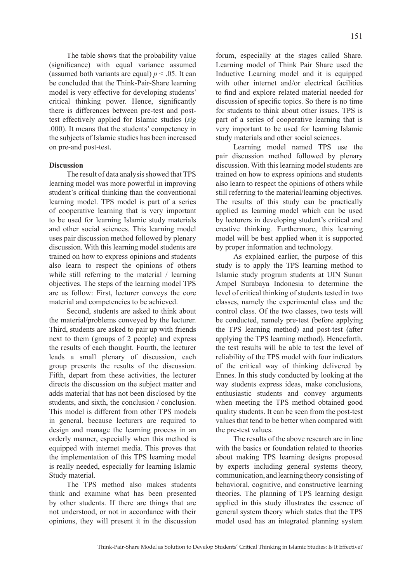The table shows that the probability value (significance) with equal variance assumed (assumed both variants are equal)  $p < .05$ . It can be concluded that the Think-Pair-Share learning model is very effective for developing students' critical thinking power. Hence, significantly there is differences between pre-test and posttest effectively applied for Islamic studies (*sig* .000). It means that the students' competency in the subjects of Islamic studies has been increased on pre-and post-test.

### **Discussion**

The result of data analysis showed that TPS learning model was more powerful in improving student's critical thinking than the conventional learning model. TPS model is part of a series of cooperative learning that is very important to be used for learning Islamic study materials and other social sciences. This learning model uses pair discussion method followed by plenary discussion. With this learning model students are trained on how to express opinions and students also learn to respect the opinions of others while still referring to the material / learning objectives. The steps of the learning model TPS are as follow: First, lecturer conveys the core material and competencies to be achieved.

Second, students are asked to think about the material/problems conveyed by the lecturer. Third, students are asked to pair up with friends next to them (groups of 2 people) and express the results of each thought. Fourth, the lecturer leads a small plenary of discussion, each group presents the results of the discussion. Fifth, depart from these activities, the lecturer directs the discussion on the subject matter and adds material that has not been disclosed by the students, and sixth, the conclusion / conclusion. This model is different from other TPS models in general, because lecturers are required to design and manage the learning process in an orderly manner, especially when this method is equipped with internet media. This proves that the implementation of this TPS learning model is really needed, especially for learning Islamic Study material.

The TPS method also makes students think and examine what has been presented by other students. If there are things that are not understood, or not in accordance with their opinions, they will present it in the discussion forum, especially at the stages called Share. Learning model of Think Pair Share used the Inductive Learning model and it is equipped with other internet and/or electrical facilities to find and explore related material needed for discussion of specific topics. So there is no time for students to think about other issues. TPS is part of a series of cooperative learning that is very important to be used for learning Islamic study materials and other social sciences.

Learning model named TPS use the pair discussion method followed by plenary discussion. With this learning model students are trained on how to express opinions and students also learn to respect the opinions of others while still referring to the material/learning objectives. The results of this study can be practically applied as learning model which can be used by lecturers in developing student's critical and creative thinking. Furthermore, this learning model will be best applied when it is supported by proper information and technology.

As explained earlier, the purpose of this study is to apply the TPS learning method to Islamic study program students at UIN Sunan Ampel Surabaya Indonesia to determine the level of critical thinking of students tested in two classes, namely the experimental class and the control class. Of the two classes, two tests will be conducted, namely pre-test (before applying the TPS learning method) and post-test (after applying the TPS learning method). Henceforth, the test results will be able to test the level of reliability of the TPS model with four indicators of the critical way of thinking delivered by Ennes. In this study conducted by looking at the way students express ideas, make conclusions, enthusiastic students and convey arguments when meeting the TPS method obtained good quality students. It can be seen from the post-test values that tend to be better when compared with the pre-test values.

The results of the above research are in line with the basics or foundation related to theories about making TPS learning designs proposed by experts including general systems theory, communication, and learning theory consisting of behavioral, cognitive, and constructive learning theories. The planning of TPS learning design applied in this study illustrates the essence of general system theory which states that the TPS model used has an integrated planning system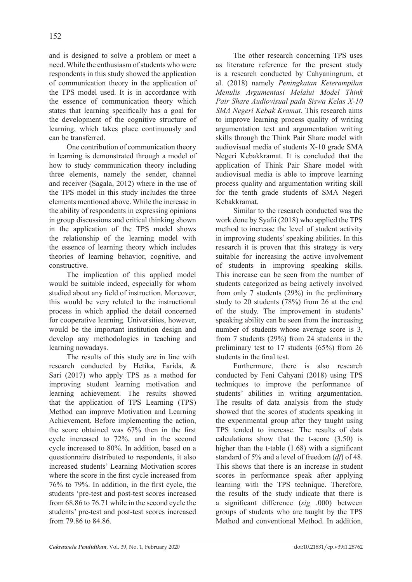and is designed to solve a problem or meet a need. While the enthusiasm of students who were respondents in this study showed the application of communication theory in the application of the TPS model used. It is in accordance with the essence of communication theory which states that learning specifically has a goal for the development of the cognitive structure of learning, which takes place continuously and can be transferred.

One contribution of communication theory in learning is demonstrated through a model of how to study communication theory including three elements, namely the sender, channel and receiver (Sagala, 2012) where in the use of the TPS model in this study includes the three elements mentioned above. While the increase in the ability of respondents in expressing opinions in group discussions and critical thinking shown in the application of the TPS model shows the relationship of the learning model with the essence of learning theory which includes theories of learning behavior, cognitive, and constructive.

The implication of this applied model would be suitable indeed, especially for whom studied about any field of instruction. Moreover, this would be very related to the instructional process in which applied the detail concerned for cooperative learning. Universities, however, would be the important institution design and develop any methodologies in teaching and learning nowadays.

The results of this study are in line with research conducted by Hetika, Farida, & Sari (2017) who apply TPS as a method for improving student learning motivation and learning achievement. The results showed that the application of TPS Learning (TPS) Method can improve Motivation and Learning Achievement. Before implementing the action, the score obtained was 67% then in the first cycle increased to 72%, and in the second cycle increased to 80%. In addition, based on a questionnaire distributed to respondents, it also increased students' Learning Motivation scores where the score in the first cycle increased from 76% to 79%. In addition, in the first cycle, the students 'pre-test and post-test scores increased from 68.86 to 76.71 while in the second cycle the students' pre-test and post-test scores increased from 79.86 to 84.86.

The other research concerning TPS uses as literature reference for the present study is a research conducted by Cahyaningrum, et al. (2018) namely *Peningkatan Keterampilan Menulis Argumentasi Melalui Model Think Pair Share Audiovisual pada Siswa Kelas X-10 SMA Negeri Kebak Kramat*. This research aims to improve learning process quality of writing argumentation text and argumentation writing skills through the Think Pair Share model with audiovisual media of students X-10 grade SMA Negeri Kebakkramat. It is concluded that the application of Think Pair Share model with audiovisual media is able to improve learning process quality and argumentation writing skill for the tenth grade students of SMA Negeri Kebakkramat.

Similar to the research conducted was the work done by Syafií (2018) who applied the TPS method to increase the level of student activity in improving students' speaking abilities. In this research it is proven that this strategy is very suitable for increasing the active involvement of students in improving speaking skills. This increase can be seen from the number of students categorized as being actively involved from only 7 students (29%) in the preliminary study to 20 students (78%) from 26 at the end of the study. The improvement in students' speaking ability can be seen from the increasing number of students whose average score is 3, from 7 students (29%) from 24 students in the preliminary test to 17 students (65%) from 26 students in the final test.

Furthermore, there is also research conducted by Feni Cahyani (2018) using TPS techniques to improve the performance of students' abilities in writing argumentation. The results of data analysis from the study showed that the scores of students speaking in the experimental group after they taught using TPS tended to increase. The results of data calculations show that the t-score (3.50) is higher than the t-table  $(1.68)$  with a significant standard of 5% and a level of freedom (*df*) of 48. This shows that there is an increase in student scores in performance speak after applying learning with the TPS technique. Therefore, the results of the study indicate that there is a significant difference (*sig* .000) between groups of students who are taught by the TPS Method and conventional Method. In addition,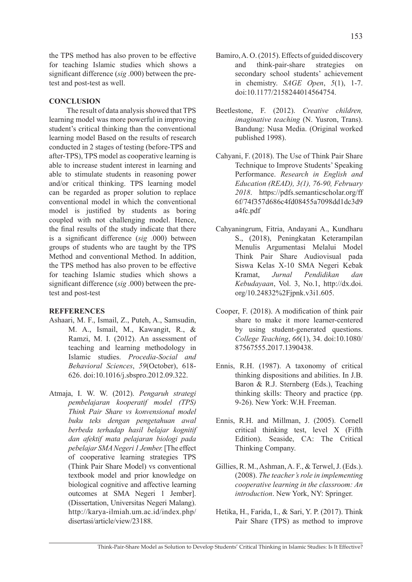the TPS method has also proven to be effective for teaching Islamic studies which shows a significant difference (*sig* .000) between the pretest and post-test as well.

# **CONCLUSION**

The result of data analysis showed that TPS learning model was more powerful in improving student's critical thinking than the conventional learning model Based on the results of research conducted in 2 stages of testing (before-TPS and after-TPS), TPS model as cooperative learning is able to increase student interest in learning and able to stimulate students in reasoning power and/or critical thinking. TPS learning model can be regarded as proper solution to replace conventional model in which the conventional model is justified by students as boring coupled with not challenging model. Hence, the final results of the study indicate that there is a significant difference (*sig* .000) between groups of students who are taught by the TPS Method and conventional Method. In addition, the TPS method has also proven to be effective for teaching Islamic studies which shows a significant difference (*sig* .000) between the pretest and post-test

## **REFFERENCES**

- Ashaari, M. F., Ismail, Z., Puteh, A., Samsudin, M. A., Ismail, M., Kawangit, R., & Ramzi, M. I. (2012). An assessment of teaching and learning methodology in Islamic studies. *Procedia-Social and Behavioral Sciences*, *59*(October), 618- 626. doi:10.1016/j.sbspro.2012.09.322.
- Atmaja, I. W. W. (2012). *Pengaruh strategi pembelajaran kooperatif model (TPS) Think Pair Share vs konvensional model buku teks dengan pengetahuan awal berbeda terhadap hasil belajar kognitif dan afektif mata pelajaran biologi pada pebelajar SMA Negeri 1 Jember.* [The effect of cooperative learning strategies TPS (Think Pair Share Model) vs conventional textbook model and prior knowledge on biological cognitive and affective learning outcomes at SMA Negeri 1 Jember]. (Dissertation, Universitas Negeri Malang). http://karya-ilmiah.um.ac.id/index.php/ disertasi/article/view/23188.
- Bamiro, A. O. (2015). Effects of guided discovery and think-pair-share strategies on secondary school students' achievement in chemistry. *SAGE Open*, *5*(1), 1-7. doi:10.1177/2158244014564754.
- Beetlestone, F. (2012). *Creative children, imaginative teaching* (N. Yusron, Trans). Bandung: Nusa Media. (Original worked published 1998).
- Cahyani, F. (2018). The Use of Think Pair Share Technique to Improve Students' Speaking Performance. *Research in English and Education (READ), 3(1), 76-90, February 2018*. https://pdfs.semanticscholar.org/ff 6f/74f357d686c4fd08455a7098dd1dc3d9 a4fc.pdf
- Cahyaningrum, Fitria, Andayani A., Kundharu S., (2018), Peningkatan Keterampilan Menulis Argumentasi Melalui Model Think Pair Share Audiovisual pada Siswa Kelas X-10 SMA Negeri Kebak Kramat, *Jurnal Pendidikan dan Kebudayaan*, Vol. 3, No.1, http://dx.doi. org/10.24832%2Fjpnk.v3i1.605.
- Cooper, F. (2018). A modification of think pair share to make it more learner-centered by using student-generated questions. *College Teaching*, *66*(1), 34. doi:10.1080/ 87567555.2017.1390438.
- Ennis, R.H. (1987). A taxonomy of critical thinking dispositions and abilities. In J.B. Baron & R.J. Sternberg (Eds.), Teaching thinking skills: Theory and practice (pp. 9-26). New York: W.H. Freeman.
- Ennis, R.H. and Millman, J. (2005). Cornell critical thinking test, level X (Fifth Edition). Seaside, CA: The Critical Thinking Company.
- Gillies, R. M., Ashman, A. F., & Terwel, J. (Eds.). (2008). *The teacher's role in implementing cooperative learning in the classroom: An introduction*. New York, NY: Springer.
- Hetika, H., Farida, I., & Sari, Y. P. (2017). Think Pair Share (TPS) as method to improve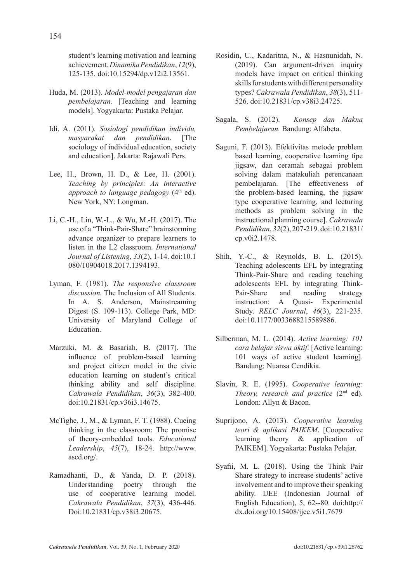student's learning motivation and learning achievement. *Dinamika Pendidikan*, *12*(9), 125-135. doi:10.15294/dp.v12i2.13561.

- Huda, M. (2013). *Model-model pengajaran dan pembelajaran.* [Teaching and learning models]. Yogyakarta: Pustaka Pelajar.
- Idi, A. (2011). *Sosiologi pendidikan individu, masyarakat dan pendidikan*. [The sociology of individual education, society and education]. Jakarta: Rajawali Pers.
- Lee, H., Brown, H. D., & Lee, H. (2001). *Teaching by principles: An interactive approach to language pedagogy* (4<sup>th</sup> ed). New York, NY: Longman.
- Li, C.-H., Lin, W.-L., & Wu, M.-H. (2017). The use of a "Think-Pair-Share" brainstorming advance organizer to prepare learners to listen in the L2 classroom. *International Journal of Listening*, *33*(2), 1-14. doi:10.1 080/10904018.2017.1394193.
- Lyman, F. (1981). *The responsive classroom discussion.* The Inclusion of All Students. In A. S. Anderson, Mainstreaming Digest (S. 109-113). College Park, MD: University of Maryland College of Education.
- Marzuki, M. & Basariah, B. (2017). The influence of problem-based learning and project citizen model in the civic education learning on student's critical thinking ability and self discipline. *Cakrawala Pendidikan*, *36*(3), 382-400. doi:10.21831/cp.v36i3.14675.
- McTighe, J., M., & Lyman, F. T. (1988). Cueing thinking in the classroom: The promise of theory-embedded tools. *Educational Leadership*, *45*(7), 18-24. http://www. ascd.org/.
- Ramadhanti, D., & Yanda, D. P. (2018). Understanding poetry through the use of cooperative learning model. *Cakrawala Pendidikan*, *37*(3), 436-446. Doi:10.21831/cp.v38i3.20675.
- Rosidin, U., Kadaritna, N., & Hasnunidah, N. (2019). Can argument-driven inquiry models have impact on critical thinking skills for students with different personality types? *Cakrawala Pendidikan*, *38*(3), 511- 526. doi:10.21831/cp.v38i3.24725.
- Sagala, S. (2012). *Konsep dan Makna Pembelajaran.* Bandung: Alfabeta.
- Saguni, F. (2013). Efektivitas metode problem based learning, cooperative learning tipe jigsaw, dan ceramah sebagai problem solving dalam matakuliah perencanaan pembelajaran. [The effectiveness of the problem-based learning, the jigsaw type cooperative learning, and lecturing methods as problem solving in the instructional planning course]. *Cakrawala Pendidikan*, *32*(2), 207-219. doi:10.21831/ cp.v0i2.1478.
- Shih, Y.-C., & Reynolds, B. L. (2015). Teaching adolescents EFL by integrating Think-Pair-Share and reading teaching adolescents EFL by integrating Think-Pair-Share and reading strategy instruction: A Quasi- Experimental Study. *RELC Journal*, *46*(3), 221-235. doi:10.1177/0033688215589886.
- Silberman, M. L. (2014). *Active learning: 101 cara belajar siswa aktif*. [Active learning: 101 ways of active student learning]. Bandung: Nuansa Cendikia.
- Slavin, R. E. (1995). *Cooperative learning: Theory, research and practice* (2<sup>nd</sup> ed). London: Allyn & Bacon.
- Suprijono, A. (2013). *Cooperative learning teori & aplikasi PAIKEM*. [Cooperative learning theory & application of PAIKEM]. Yogyakarta: Pustaka Pelajar.
- Syafii, M. L. (2018). Using the Think Pair Share strategy to increase students' active involvement and to improve their speaking ability. IJEE (Indonesian Journal of English Education), 5, 62--80. doi:http:// dx.doi.org/10.15408/ijee.v5i1.7679